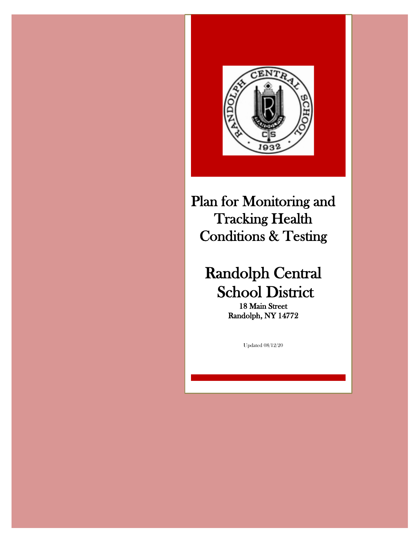

Plan for Monitoring and Tracking Health Conditions & Testing

# Randolph Central School District

Randolph, NY 14772

Updated 08/12/20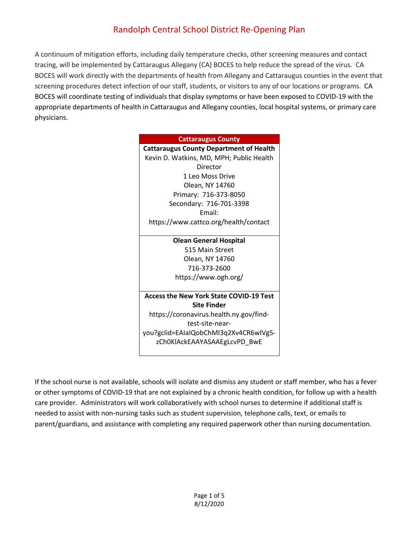# Randolph Central School District Re-Opening Plan

A continuum of mitigation efforts, including daily temperature checks, other screening measures and contact tracing, will be implemented by Cattaraugus Allegany (CA) BOCES to help reduce the spread of the virus. CA BOCES will work directly with the departments of health from Allegany and Cattaraugus counties in the event that screening procedures detect infection of our staff, students, or visitors to any of our locations or programs. CA BOCES will coordinate testing of individuals that display symptoms or have been exposed to COVID-19 with the appropriate departments of health in Cattaraugus and Allegany counties, local hospital systems, or primary care physicians.

**Olean General Hospital** 515 Main Street Olean, NY 14760 716-373-2600 https://www.ogh.org/

**Access the New York State COVID-19 Test Site Finder** https://coronavirus.health.ny.gov/findtest-site-near-

you?gclid=EAIaIQobChMI3q2Xv4CR6wIVg5 zCh0KlAckEAAYASAAEgLcvPD\_BwE

If the school nurse is not available, schools will isolate and dismiss any student or staff member, who has a fever or other symptoms of COVID-19 that are not explained by a chronic health condition, for follow up with a health care provider. Administrators will work collaboratively with school nurses to determine if additional staff is needed to assist with non-nursing tasks such as student supervision, telephone calls, text, or emails to parent/guardians, and assistance with completing any required paperwork other than nursing documentation.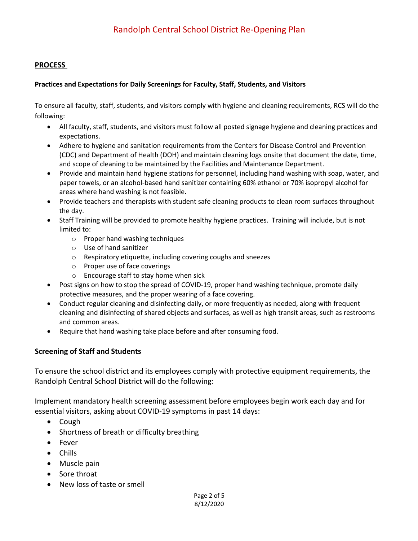#### **PROCESS**

#### **Practices and Expectations for Daily Screenings for Faculty, Staff, Students, and Visitors**

To ensure all faculty, staff, students, and visitors comply with hygiene and cleaning requirements, RCS will do the following:

- All faculty, staff, students, and visitors must follow all posted signage hygiene and cleaning practices and expectations.
- Adhere to hygiene and sanitation requirements from the Centers for Disease Control and Prevention (CDC) and Department of Health (DOH) and maintain cleaning logs onsite that document the date, time, and scope of cleaning to be maintained by the Facilities and Maintenance Department.
- Provide and maintain hand hygiene stations for personnel, including hand washing with soap, water, and paper towels, or an alcohol-based hand sanitizer containing 60% ethanol or 70% isopropyl alcohol for areas where hand washing is not feasible.
- Provide teachers and therapists with student safe cleaning products to clean room surfaces throughout the day.
- Staff Training will be provided to promote healthy hygiene practices. Training will include, but is not limited to:
	- o Proper hand washing techniques
	- o Use of hand sanitizer
	- o Respiratory etiquette, including covering coughs and sneezes
	- o Proper use of face coverings
	- o Encourage staff to stay home when sick
- Post signs on how to stop the spread of COVID-19, proper hand washing technique, promote daily protective measures, and the proper wearing of a face covering.
- Conduct regular cleaning and disinfecting daily, or more frequently as needed, along with frequent cleaning and disinfecting of shared objects and surfaces, as well as high transit areas, such as restrooms and common areas.
- Require that hand washing take place before and after consuming food.

## **Screening of Staff and Students**

To ensure the school district and its employees comply with protective equipment requirements, the Randolph Central School District will do the following:

Implement mandatory health screening assessment before employees begin work each day and for essential visitors, asking about COVID-19 symptoms in past 14 days:

- Cough
- Shortness of breath or difficulty breathing
- Fever
- Chills
- Muscle pain
- Sore throat
- New loss of taste or smell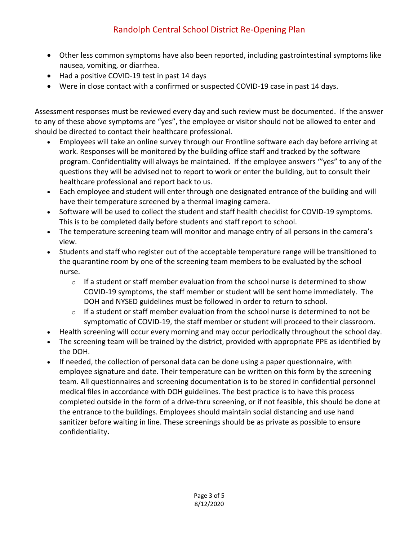# Randolph Central School District Re-Opening Plan

- Other less common symptoms have also been reported, including gastrointestinal symptoms like nausea, vomiting, or diarrhea.
- Had a positive COVID-19 test in past 14 days
- Were in close contact with a confirmed or suspected COVID-19 case in past 14 days.

Assessment responses must be reviewed every day and such review must be documented. If the answer to any of these above symptoms are "yes", the employee or visitor should not be allowed to enter and should be directed to contact their healthcare professional.

- Employees will take an online survey through our Frontline software each day before arriving at work. Responses will be monitored by the building office staff and tracked by the software program. Confidentiality will always be maintained. If the employee answers '"yes" to any of the questions they will be advised not to report to work or enter the building, but to consult their healthcare professional and report back to us.
- Each employee and student will enter through one designated entrance of the building and will have their temperature screened by a thermal imaging camera.
- Software will be used to collect the student and staff health checklist for COVID-19 symptoms. This is to be completed daily before students and staff report to school.
- The temperature screening team will monitor and manage entry of all persons in the camera's view.
- Students and staff who register out of the acceptable temperature range will be transitioned to the quarantine room by one of the screening team members to be evaluated by the school nurse.
	- $\circ$  If a student or staff member evaluation from the school nurse is determined to show COVID-19 symptoms, the staff member or student will be sent home immediately. The DOH and NYSED guidelines must be followed in order to return to school.
	- $\circ$  If a student or staff member evaluation from the school nurse is determined to not be symptomatic of COVID-19, the staff member or student will proceed to their classroom.
- Health screening will occur every morning and may occur periodically throughout the school day.
- The screening team will be trained by the district, provided with appropriate PPE as identified by the DOH.
- If needed, the collection of personal data can be done using a paper questionnaire, with employee signature and date. Their temperature can be written on this form by the screening team. All questionnaires and screening documentation is to be stored in confidential personnel medical files in accordance with DOH guidelines. The best practice is to have this process completed outside in the form of a drive-thru screening, or if not feasible, this should be done at the entrance to the buildings. Employees should maintain social distancing and use hand sanitizer before waiting in line. These screenings should be as private as possible to ensure confidentiality**.**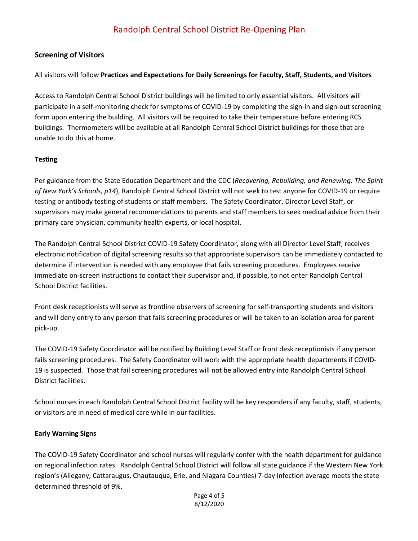## **Screening of Visitors**

All visitors will follow **Practices and Expectations for Daily Screenings for Faculty, Staff, Students, and Visitors**

Access to Randolph Central School District buildings will be limited to only essential visitors. All visitors will participate in a self-monitoring check for symptoms of COVID-19 by completing the sign-in and sign-out screening form upon entering the building. All visitors will be required to take their temperature before entering RCS buildings. Thermometers will be available at all Randolph Central School District buildings for those that are unable to do this at home.

### **Testing**

Per guidance from the State Education Department and the CDC (*Recovering, Rebuilding, and Renewing: The Spirit of New York's Schools, p14*), Randolph Central School District will not seek to test anyone for COVID-19 or require testing or antibody testing of students or staff members. The Safety Coordinator, Director Level Staff, or supervisors may make general recommendations to parents and staff members to seek medical advice from their primary care physician, community health experts, or local hospital.

The Randolph Central School District COVID-19 Safety Coordinator, along with all Director Level Staff, receives electronic notification of digital screening results so that appropriate supervisors can be immediately contacted to determine if intervention is needed with any employee that fails screening procedures. Employees receive immediate on-screen instructions to contact their supervisor and, if possible, to not enter Randolph Central School District facilities.

Front desk receptionists will serve as frontline observers of screening for self-transporting students and visitors and will deny entry to any person that fails screening procedures or will be taken to an isolation area for parent pick-up.

The COVID-19 Safety Coordinator will be notified by Building Level Staff or front desk receptionists if any person fails screening procedures. The Safety Coordinator will work with the appropriate health departments if COVID-19 is suspected. Those that fail screening procedures will not be allowed entry into Randolph Central School District facilities.

School nurses in each Randolph Central School District facility will be key responders if any faculty, staff, students, or visitors are in need of medical care while in our facilities.

#### **Early Warning Signs**

The COVID-19 Safety Coordinator and school nurses will regularly confer with the health department for guidance on regional infection rates. Randolph Central School District will follow all state guidance if the Western New York region's (Allegany, Cattaraugus, Chautauqua, Erie, and Niagara Counties) 7-day infection average meets the state determined threshold of 9%.

> Page 4 of 5 8/12/2020